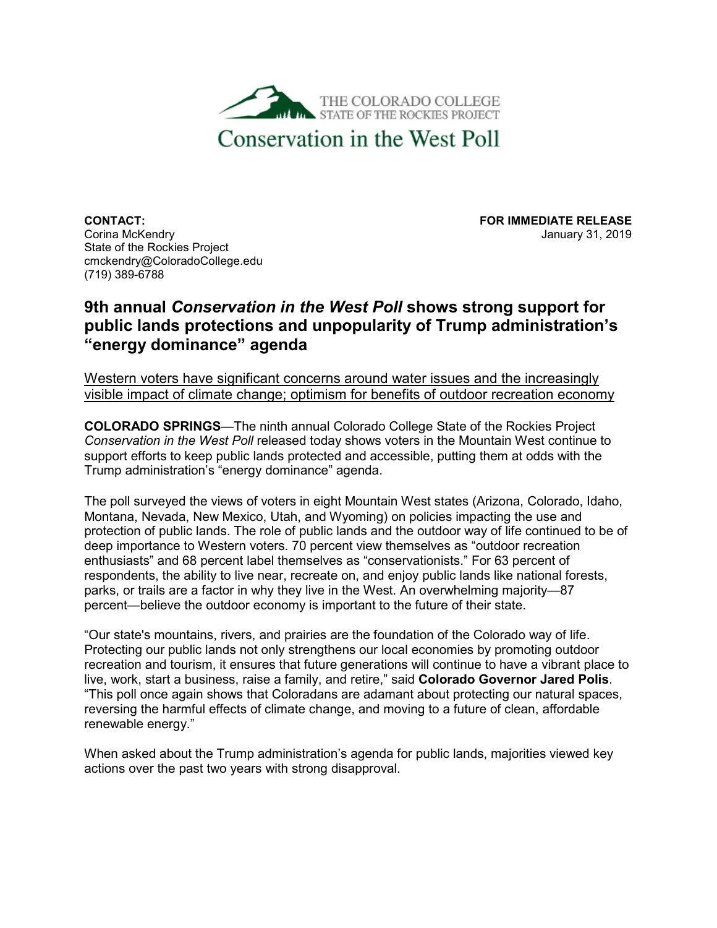

**CONTACT: FOR IMMEDIATE RELEASE** State of the Rockies Project cmckendry@ColoradoCollege.edu (719) 389-6788

January 31, 2019

## **9th annual** *Conservation in the West Poll* **shows strong support for public lands protections and unpopularity of Trump administration's "energy dominance" agenda**

Western voters have significant concerns around water issues and the increasingly visible impact of climate change; optimism for benefits of outdoor recreation economy

**COLORADO SPRINGS**—The ninth annual Colorado College State of the Rockies Project *Conservation in the West Poll* released today shows voters in the Mountain West continue to support efforts to keep public lands protected and accessible, putting them at odds with the Trump administration's "energy dominance" agenda.

The poll surveyed the views of voters in eight Mountain West states (Arizona, Colorado, Idaho, Montana, Nevada, New Mexico, Utah, and Wyoming) on policies impacting the use and protection of public lands. The role of public lands and the outdoor way of life continued to be of deep importance to Western voters. 70 percent view themselves as "outdoor recreation enthusiasts" and 68 percent label themselves as "conservationists." For 63 percent of respondents, the ability to live near, recreate on, and enjoy public lands like national forests, parks, or trails are a factor in why they live in the West. An overwhelming majority—87 percent—believe the outdoor economy is important to the future of their state.

"Our state's mountains, rivers, and prairies are the foundation of the Colorado way of life. Protecting our public lands not only strengthens our local economies by promoting outdoor recreation and tourism, it ensures that future generations will continue to have a vibrant place to live, work, start a business, raise a family, and retire," said **Colorado Governor Jared Polis**. "This poll once again shows that Coloradans are adamant about protecting our natural spaces, reversing the harmful effects of climate change, and moving to a future of clean, affordable renewable energy."

When asked about the Trump administration's agenda for public lands, majorities viewed key actions over the past two years with strong disapproval.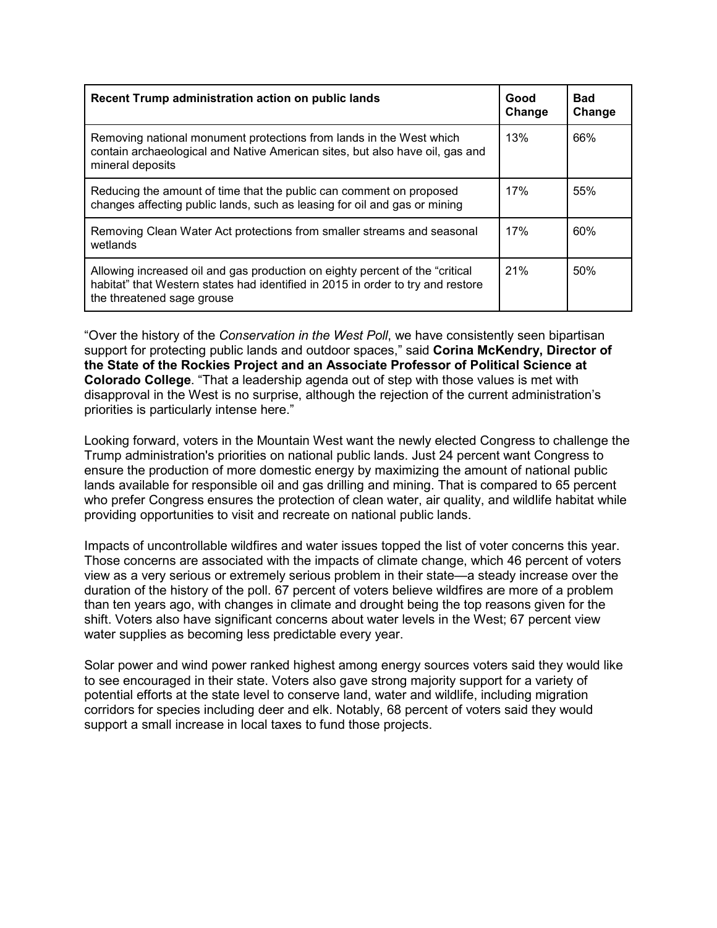| Recent Trump administration action on public lands                                                                                                                                             | Good<br>Change | Bad<br>Change |
|------------------------------------------------------------------------------------------------------------------------------------------------------------------------------------------------|----------------|---------------|
| Removing national monument protections from lands in the West which<br>contain archaeological and Native American sites, but also have oil, gas and<br>mineral deposits                        | 13%            | 66%           |
| Reducing the amount of time that the public can comment on proposed<br>changes affecting public lands, such as leasing for oil and gas or mining                                               | 17%            | 55%           |
| Removing Clean Water Act protections from smaller streams and seasonal<br>wetlands                                                                                                             | 17%            | 60%           |
| Allowing increased oil and gas production on eighty percent of the "critical"<br>habitat" that Western states had identified in 2015 in order to try and restore<br>the threatened sage grouse | 21%            | 50%           |

"Over the history of the *Conservation in the West Poll*, we have consistently seen bipartisan support for protecting public lands and outdoor spaces," said **Corina McKendry, Director of the State of the Rockies Project and an Associate Professor of Political Science at Colorado College**. "That a leadership agenda out of step with those values is met with disapproval in the West is no surprise, although the rejection of the current administration's priorities is particularly intense here."

Looking forward, voters in the Mountain West want the newly elected Congress to challenge the Trump administration's priorities on national public lands. Just 24 percent want Congress to ensure the production of more domestic energy by maximizing the amount of national public lands available for responsible oil and gas drilling and mining. That is compared to 65 percent who prefer Congress ensures the protection of clean water, air quality, and wildlife habitat while providing opportunities to visit and recreate on national public lands.

Impacts of uncontrollable wildfires and water issues topped the list of voter concerns this year. Those concerns are associated with the impacts of climate change, which 46 percent of voters view as a very serious or extremely serious problem in their state—a steady increase over the duration of the history of the poll. 67 percent of voters believe wildfires are more of a problem than ten years ago, with changes in climate and drought being the top reasons given for the shift. Voters also have significant concerns about water levels in the West; 67 percent view water supplies as becoming less predictable every year.

Solar power and wind power ranked highest among energy sources voters said they would like to see encouraged in their state. Voters also gave strong majority support for a variety of potential efforts at the state level to conserve land, water and wildlife, including migration corridors for species including deer and elk. Notably, 68 percent of voters said they would support a small increase in local taxes to fund those projects.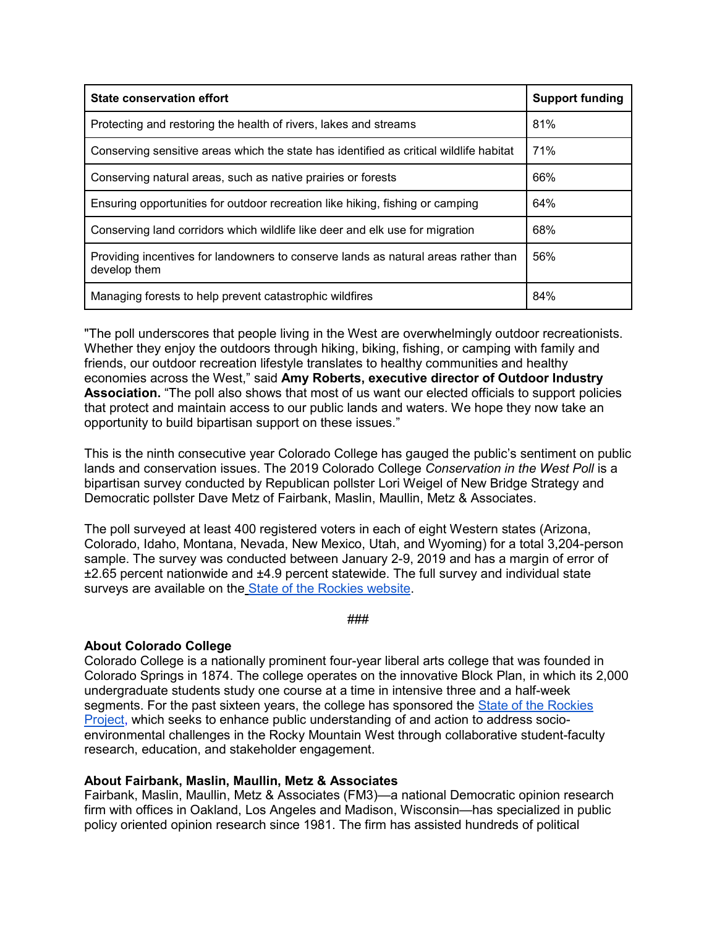| <b>State conservation effort</b>                                                                   | <b>Support funding</b> |
|----------------------------------------------------------------------------------------------------|------------------------|
| Protecting and restoring the health of rivers, lakes and streams                                   | 81%                    |
| Conserving sensitive areas which the state has identified as critical wildlife habitat             | 71%                    |
| Conserving natural areas, such as native prairies or forests                                       | 66%                    |
| Ensuring opportunities for outdoor recreation like hiking, fishing or camping                      | 64%                    |
| Conserving land corridors which wildlife like deer and elk use for migration                       | 68%                    |
| Providing incentives for landowners to conserve lands as natural areas rather than<br>develop them | 56%                    |
| Managing forests to help prevent catastrophic wildfires                                            | 84%                    |

"The poll underscores that people living in the West are overwhelmingly outdoor recreationists. Whether they enjoy the outdoors through hiking, biking, fishing, or camping with family and friends, our outdoor recreation lifestyle translates to healthy communities and healthy economies across the West," said **Amy Roberts, executive director of Outdoor Industry Association.** "The poll also shows that most of us want our elected officials to support policies that protect and maintain access to our public lands and waters. We hope they now take an opportunity to build bipartisan support on these issues."

This is the ninth consecutive year Colorado College has gauged the public's sentiment on public lands and conservation issues. The 2019 Colorado College *Conservation in the West Poll* is a bipartisan survey conducted by Republican pollster Lori Weigel of New Bridge Strategy and Democratic pollster Dave Metz of Fairbank, Maslin, Maullin, Metz & Associates.

The poll surveyed at least 400 registered voters in each of eight Western states (Arizona, Colorado, Idaho, Montana, Nevada, New Mexico, Utah, and Wyoming) for a total 3,204-person sample. The survey was conducted between January 2-9, 2019 and has a margin of error of ±2.65 percent nationwide and ±4.9 percent statewide. The full survey and individual state surveys are available on the [State of the Rockies website.](https://www.coloradocollege.edu/stateoftherockies/conservationinthewest/)

###

## **About Colorado College**

Colorado College is a nationally prominent four-year liberal arts college that was founded in Colorado Springs in 1874. The college operates on the innovative Block Plan, in which its 2,000 undergraduate students study one course at a time in intensive three and a half-week segments. For the past sixteen years, the college has sponsored the [State of the Rockies](https://www.coloradocollege.edu/stateoftherockies/)  [Project,](https://www.coloradocollege.edu/stateoftherockies/) which seeks to enhance public understanding of and action to address socioenvironmental challenges in the Rocky Mountain West through collaborative student-faculty research, education, and stakeholder engagement.

## **About Fairbank, Maslin, Maullin, Metz & Associates**

Fairbank, Maslin, Maullin, Metz & Associates (FM3)—a national Democratic opinion research firm with offices in Oakland, Los Angeles and Madison, Wisconsin—has specialized in public policy oriented opinion research since 1981. The firm has assisted hundreds of political